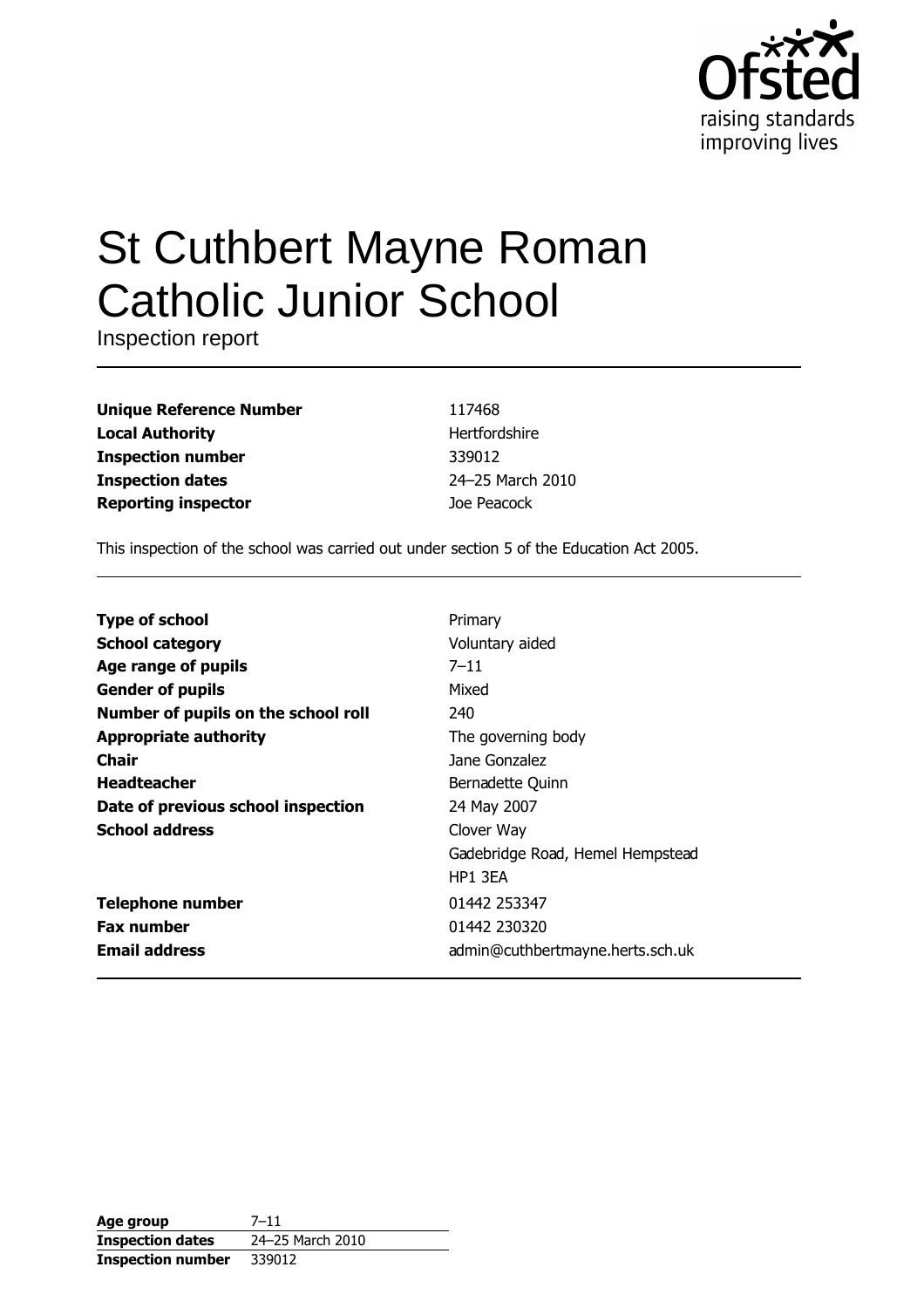

# **St Cuthbert Mayne Roman Catholic Junior School**

Inspection report

| <b>Unique Reference Number</b> |
|--------------------------------|
| <b>Local Authority</b>         |
| <b>Inspection number</b>       |
| <b>Inspection dates</b>        |
| <b>Reporting inspector</b>     |

117468 Hertfordshire 339012 24-25 March 2010 Joe Peacock

This inspection of the school was carried out under section 5 of the Education Act 2005.

| <b>Type of school</b>               | Primary                          |
|-------------------------------------|----------------------------------|
| <b>School category</b>              | Voluntary aided                  |
| Age range of pupils                 | $7 - 11$                         |
| <b>Gender of pupils</b>             | Mixed                            |
| Number of pupils on the school roll | 240                              |
| <b>Appropriate authority</b>        | The governing body               |
| Chair                               | Jane Gonzalez                    |
| <b>Headteacher</b>                  | Bernadette Quinn                 |
| Date of previous school inspection  | 24 May 2007                      |
| <b>School address</b>               | Clover Way                       |
|                                     | Gadebridge Road, Hemel Hempstead |
|                                     | HP1 3FA                          |
| <b>Telephone number</b>             | 01442 253347                     |
| <b>Fax number</b>                   | 01442 230320                     |
| <b>Email address</b>                | admin@cuthbertmayne.herts.sch.uk |

| Age group                | $7 - 11$         |
|--------------------------|------------------|
| <b>Inspection dates</b>  | 24-25 March 2010 |
| <b>Inspection number</b> | 339012           |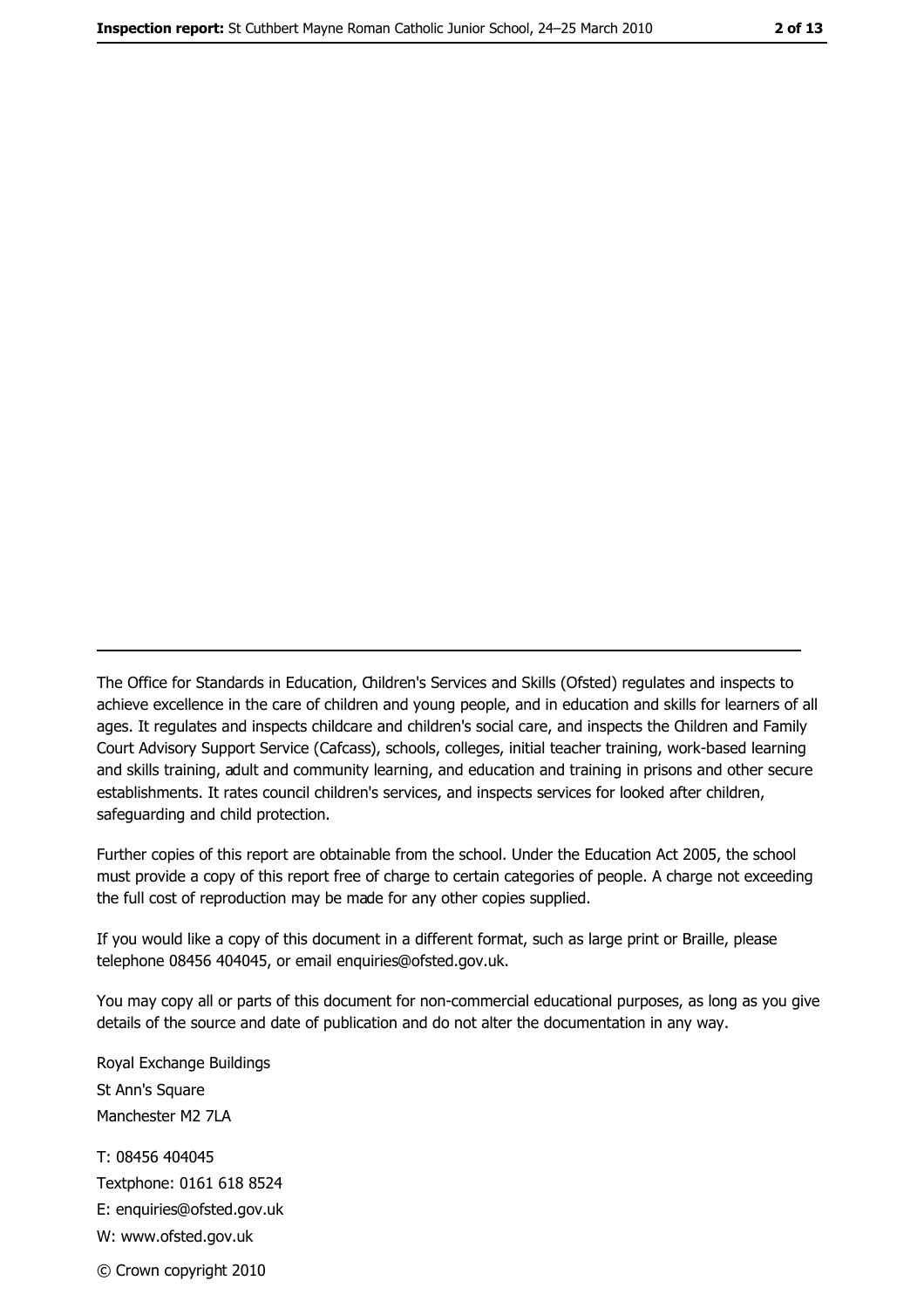The Office for Standards in Education, Children's Services and Skills (Ofsted) regulates and inspects to achieve excellence in the care of children and young people, and in education and skills for learners of all ages. It regulates and inspects childcare and children's social care, and inspects the Children and Family Court Advisory Support Service (Cafcass), schools, colleges, initial teacher training, work-based learning and skills training, adult and community learning, and education and training in prisons and other secure establishments. It rates council children's services, and inspects services for looked after children, safequarding and child protection.

Further copies of this report are obtainable from the school. Under the Education Act 2005, the school must provide a copy of this report free of charge to certain categories of people. A charge not exceeding the full cost of reproduction may be made for any other copies supplied.

If you would like a copy of this document in a different format, such as large print or Braille, please telephone 08456 404045, or email enquiries@ofsted.gov.uk.

You may copy all or parts of this document for non-commercial educational purposes, as long as you give details of the source and date of publication and do not alter the documentation in any way.

Royal Exchange Buildings St Ann's Square Manchester M2 7LA T: 08456 404045 Textphone: 0161 618 8524 E: enquiries@ofsted.gov.uk W: www.ofsted.gov.uk © Crown copyright 2010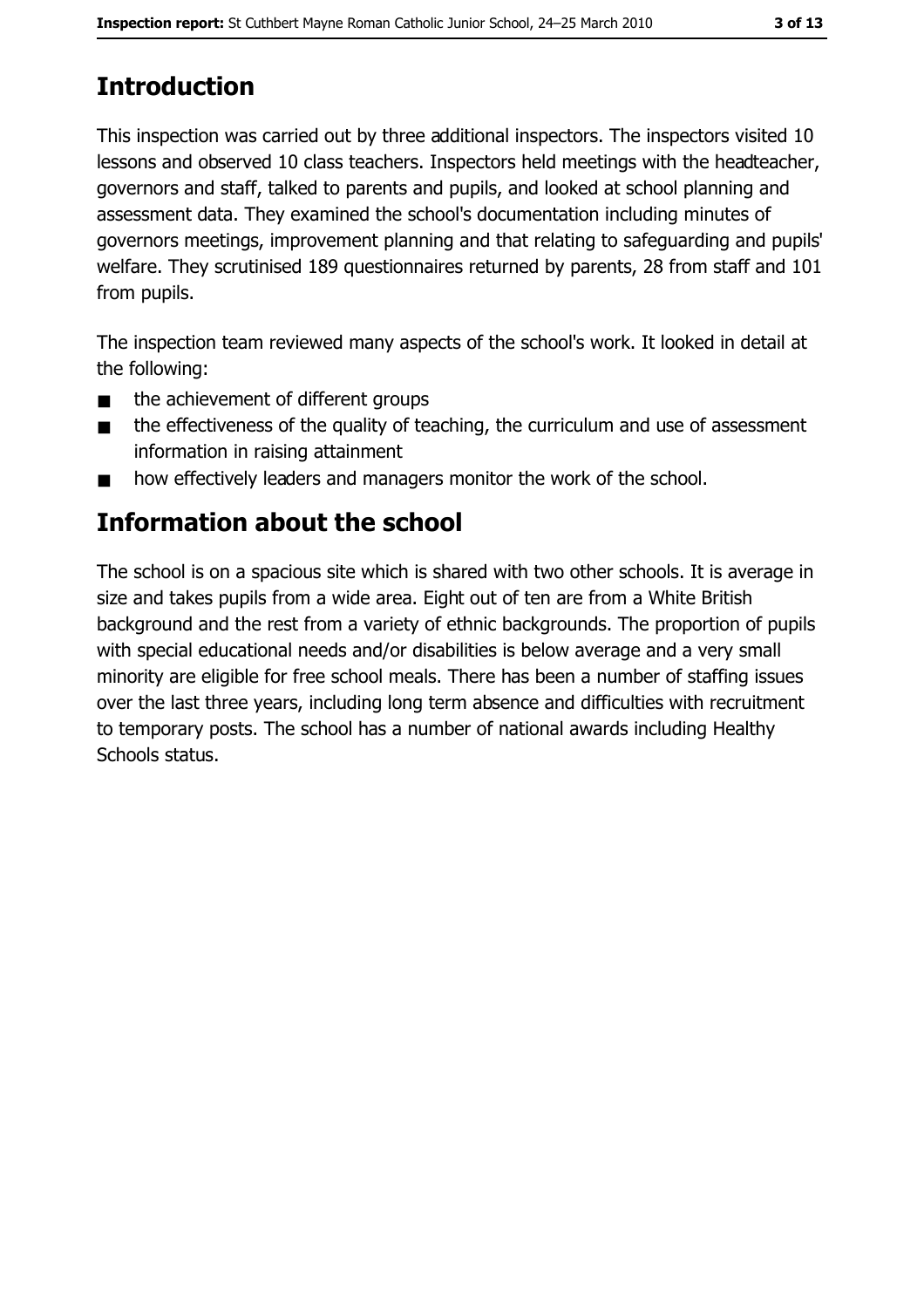# **Introduction**

This inspection was carried out by three additional inspectors. The inspectors visited 10 lessons and observed 10 class teachers. Inspectors held meetings with the headteacher, governors and staff, talked to parents and pupils, and looked at school planning and assessment data. They examined the school's documentation including minutes of governors meetings, improvement planning and that relating to safeguarding and pupils' welfare. They scrutinised 189 questionnaires returned by parents, 28 from staff and 101 from pupils.

The inspection team reviewed many aspects of the school's work. It looked in detail at the following:

- the achievement of different groups  $\blacksquare$
- the effectiveness of the quality of teaching, the curriculum and use of assessment  $\blacksquare$ information in raising attainment
- how effectively leaders and managers monitor the work of the school.  $\blacksquare$

## Information about the school

The school is on a spacious site which is shared with two other schools. It is average in size and takes pupils from a wide area. Eight out of ten are from a White British background and the rest from a variety of ethnic backgrounds. The proportion of pupils with special educational needs and/or disabilities is below average and a very small minority are eligible for free school meals. There has been a number of staffing issues over the last three years, including long term absence and difficulties with recruitment to temporary posts. The school has a number of national awards including Healthy Schools status.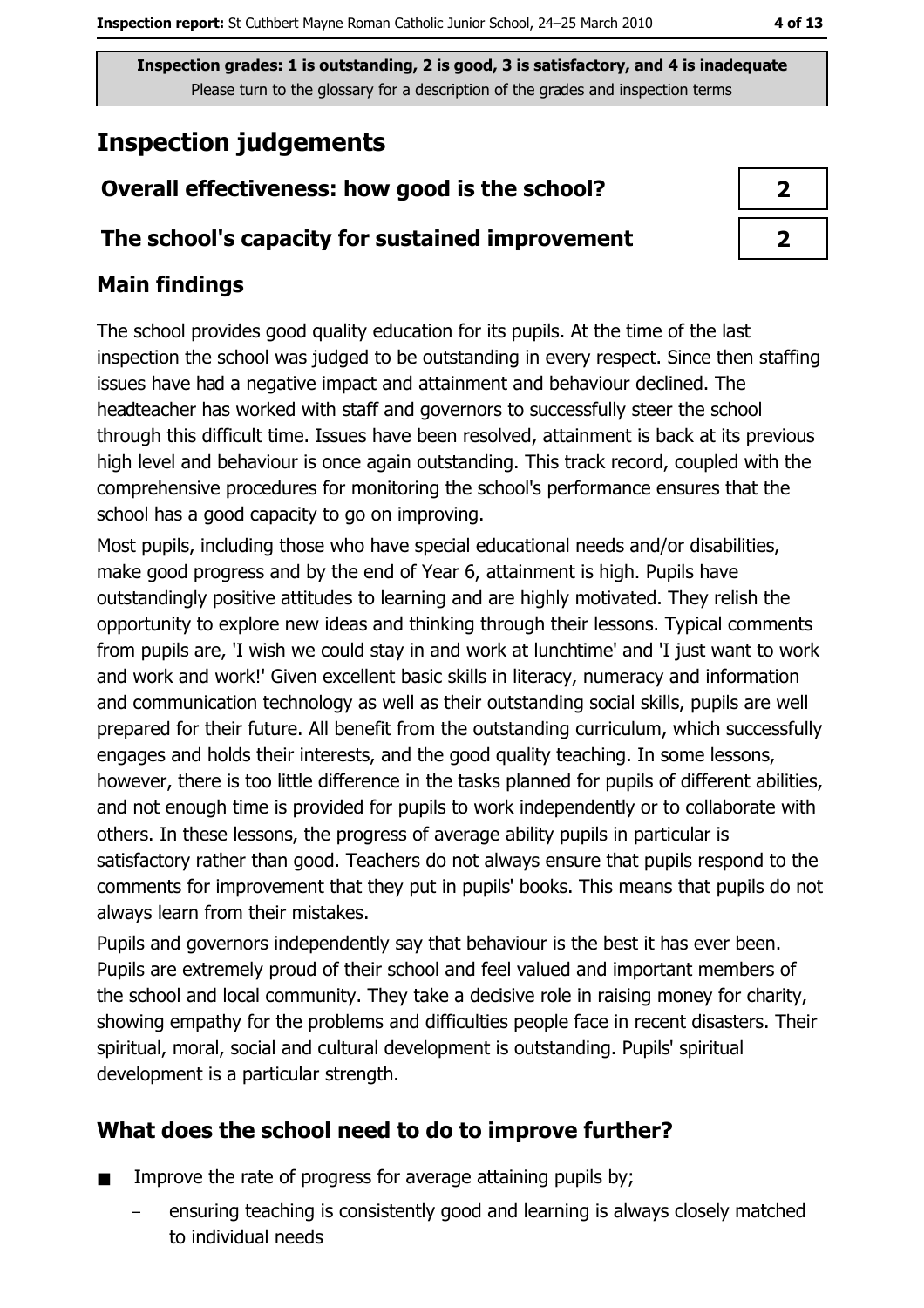# **Inspection judgements**

## Overall effectiveness: how good is the school?

### The school's capacity for sustained improvement

## **Main findings**

The school provides good quality education for its pupils. At the time of the last inspection the school was judged to be outstanding in every respect. Since then staffing issues have had a negative impact and attainment and behaviour declined. The headteacher has worked with staff and governors to successfully steer the school through this difficult time. Issues have been resolved, attainment is back at its previous high level and behaviour is once again outstanding. This track record, coupled with the comprehensive procedures for monitoring the school's performance ensures that the school has a good capacity to go on improving.

Most pupils, including those who have special educational needs and/or disabilities, make good progress and by the end of Year 6, attainment is high. Pupils have outstandingly positive attitudes to learning and are highly motivated. They relish the opportunity to explore new ideas and thinking through their lessons. Typical comments from pupils are, 'I wish we could stay in and work at lunchtime' and 'I just want to work and work and work!' Given excellent basic skills in literacy, numeracy and information and communication technology as well as their outstanding social skills, pupils are well prepared for their future. All benefit from the outstanding curriculum, which successfully engages and holds their interests, and the good quality teaching. In some lessons, however, there is too little difference in the tasks planned for pupils of different abilities, and not enough time is provided for pupils to work independently or to collaborate with others. In these lessons, the progress of average ability pupils in particular is satisfactory rather than good. Teachers do not always ensure that pupils respond to the comments for improvement that they put in pupils' books. This means that pupils do not always learn from their mistakes.

Pupils and governors independently say that behaviour is the best it has ever been. Pupils are extremely proud of their school and feel valued and important members of the school and local community. They take a decisive role in raising money for charity, showing empathy for the problems and difficulties people face in recent disasters. Their spiritual, moral, social and cultural development is outstanding. Pupils' spiritual development is a particular strength.

## What does the school need to do to improve further?

- Improve the rate of progress for average attaining pupils by;  $\blacksquare$ 
	- ensuring teaching is consistently good and learning is always closely matched to individual needs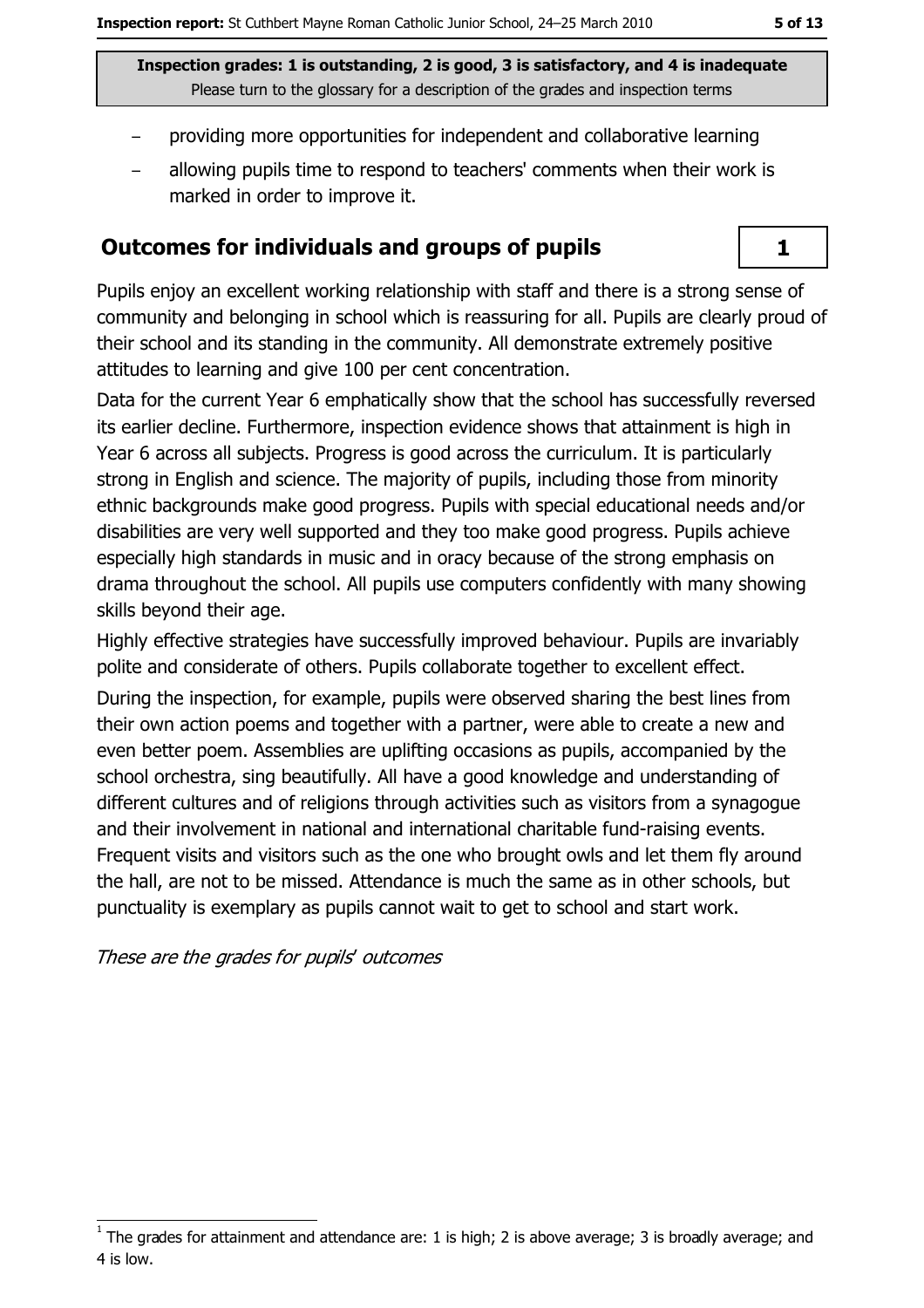$\mathbf{1}$ 

Inspection grades: 1 is outstanding, 2 is good, 3 is satisfactory, and 4 is inadequate Please turn to the glossary for a description of the grades and inspection terms

- providing more opportunities for independent and collaborative learning
- allowing pupils time to respond to teachers' comments when their work is marked in order to improve it.

#### **Outcomes for individuals and groups of pupils**

Pupils enjoy an excellent working relationship with staff and there is a strong sense of community and belonging in school which is reassuring for all. Pupils are clearly proud of their school and its standing in the community. All demonstrate extremely positive attitudes to learning and give 100 per cent concentration.

Data for the current Year 6 emphatically show that the school has successfully reversed its earlier decline. Furthermore, inspection evidence shows that attainment is high in Year 6 across all subjects, Progress is good across the curriculum. It is particularly strong in English and science. The majority of pupils, including those from minority ethnic backgrounds make good progress. Pupils with special educational needs and/or disabilities are very well supported and they too make good progress. Pupils achieve especially high standards in music and in oracy because of the strong emphasis on drama throughout the school. All pupils use computers confidently with many showing skills beyond their age.

Highly effective strategies have successfully improved behaviour. Pupils are invariably polite and considerate of others. Pupils collaborate together to excellent effect.

During the inspection, for example, pupils were observed sharing the best lines from their own action poems and together with a partner, were able to create a new and even better poem. Assemblies are uplifting occasions as pupils, accompanied by the school orchestra, sing beautifully. All have a good knowledge and understanding of different cultures and of religions through activities such as visitors from a synagogue and their involvement in national and international charitable fund-raising events. Frequent visits and visitors such as the one who brought owls and let them fly around the hall, are not to be missed. Attendance is much the same as in other schools, but punctuality is exemplary as pupils cannot wait to get to school and start work.

These are the grades for pupils' outcomes

The grades for attainment and attendance are: 1 is high; 2 is above average; 3 is broadly average; and 4 is low.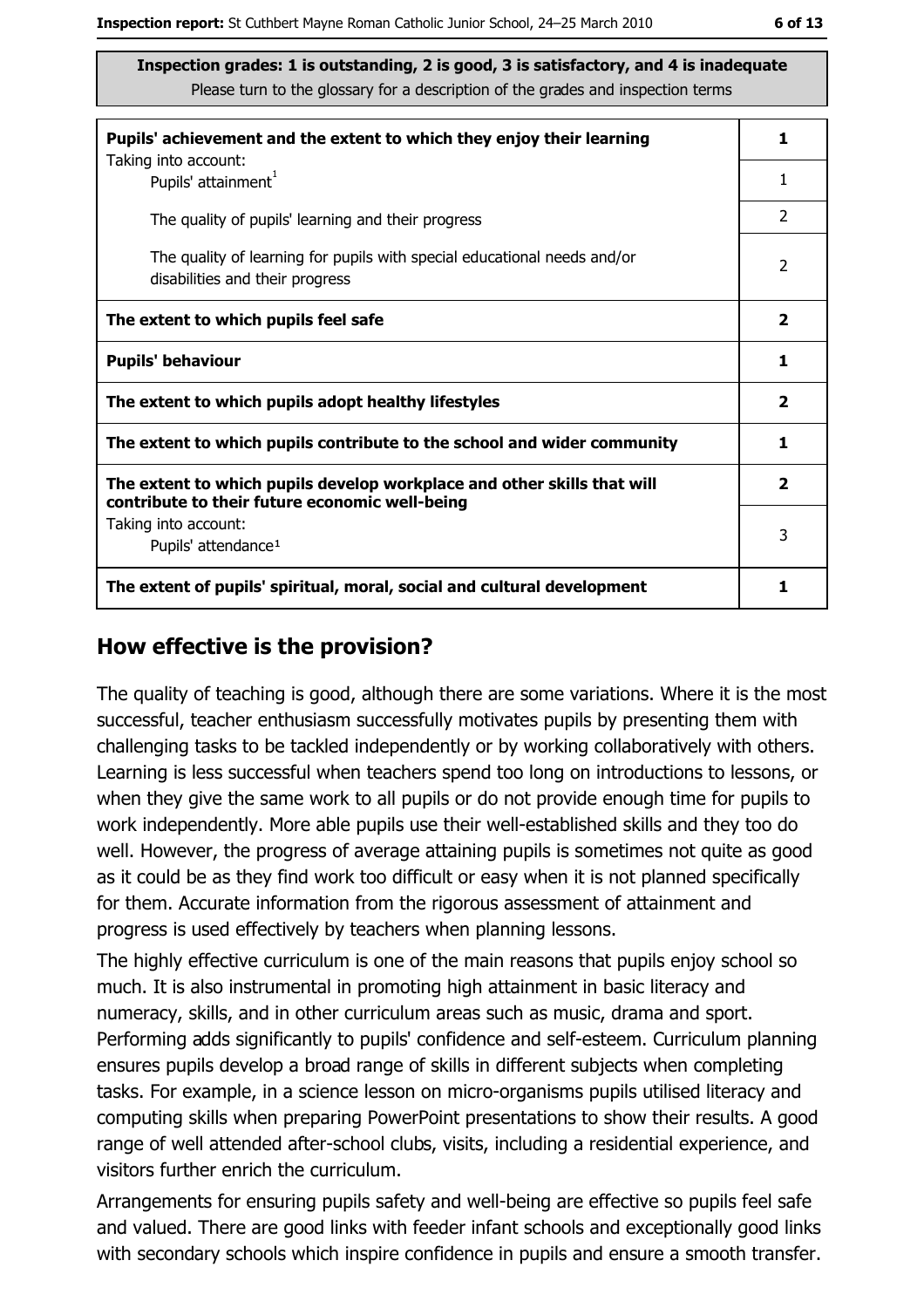| Pupils' achievement and the extent to which they enjoy their learning                                                     | 1                       |  |
|---------------------------------------------------------------------------------------------------------------------------|-------------------------|--|
| Taking into account:<br>Pupils' attainment <sup>1</sup>                                                                   | 1                       |  |
| The quality of pupils' learning and their progress                                                                        | $\overline{2}$          |  |
| The quality of learning for pupils with special educational needs and/or<br>disabilities and their progress               | 2                       |  |
| The extent to which pupils feel safe                                                                                      | $\overline{\mathbf{2}}$ |  |
| <b>Pupils' behaviour</b>                                                                                                  |                         |  |
| The extent to which pupils adopt healthy lifestyles                                                                       | $\mathbf{2}$            |  |
| The extent to which pupils contribute to the school and wider community                                                   |                         |  |
| The extent to which pupils develop workplace and other skills that will<br>contribute to their future economic well-being |                         |  |
| Taking into account:<br>Pupils' attendance <sup>1</sup>                                                                   | 3                       |  |
| The extent of pupils' spiritual, moral, social and cultural development                                                   | 1                       |  |

#### How effective is the provision?

The quality of teaching is good, although there are some variations. Where it is the most successful, teacher enthusiasm successfully motivates pupils by presenting them with challenging tasks to be tackled independently or by working collaboratively with others. Learning is less successful when teachers spend too long on introductions to lessons, or when they give the same work to all pupils or do not provide enough time for pupils to work independently. More able pupils use their well-established skills and they too do well. However, the progress of average attaining pupils is sometimes not quite as good as it could be as they find work too difficult or easy when it is not planned specifically for them. Accurate information from the rigorous assessment of attainment and progress is used effectively by teachers when planning lessons.

The highly effective curriculum is one of the main reasons that pupils enjoy school so much. It is also instrumental in promoting high attainment in basic literacy and numeracy, skills, and in other curriculum areas such as music, drama and sport. Performing adds significantly to pupils' confidence and self-esteem. Curriculum planning ensures pupils develop a broad range of skills in different subjects when completing tasks. For example, in a science lesson on micro-organisms pupils utilised literacy and computing skills when preparing PowerPoint presentations to show their results. A good range of well attended after-school clubs, visits, including a residential experience, and visitors further enrich the curriculum.

Arrangements for ensuring pupils safety and well-being are effective so pupils feel safe and valued. There are good links with feeder infant schools and exceptionally good links with secondary schools which inspire confidence in pupils and ensure a smooth transfer.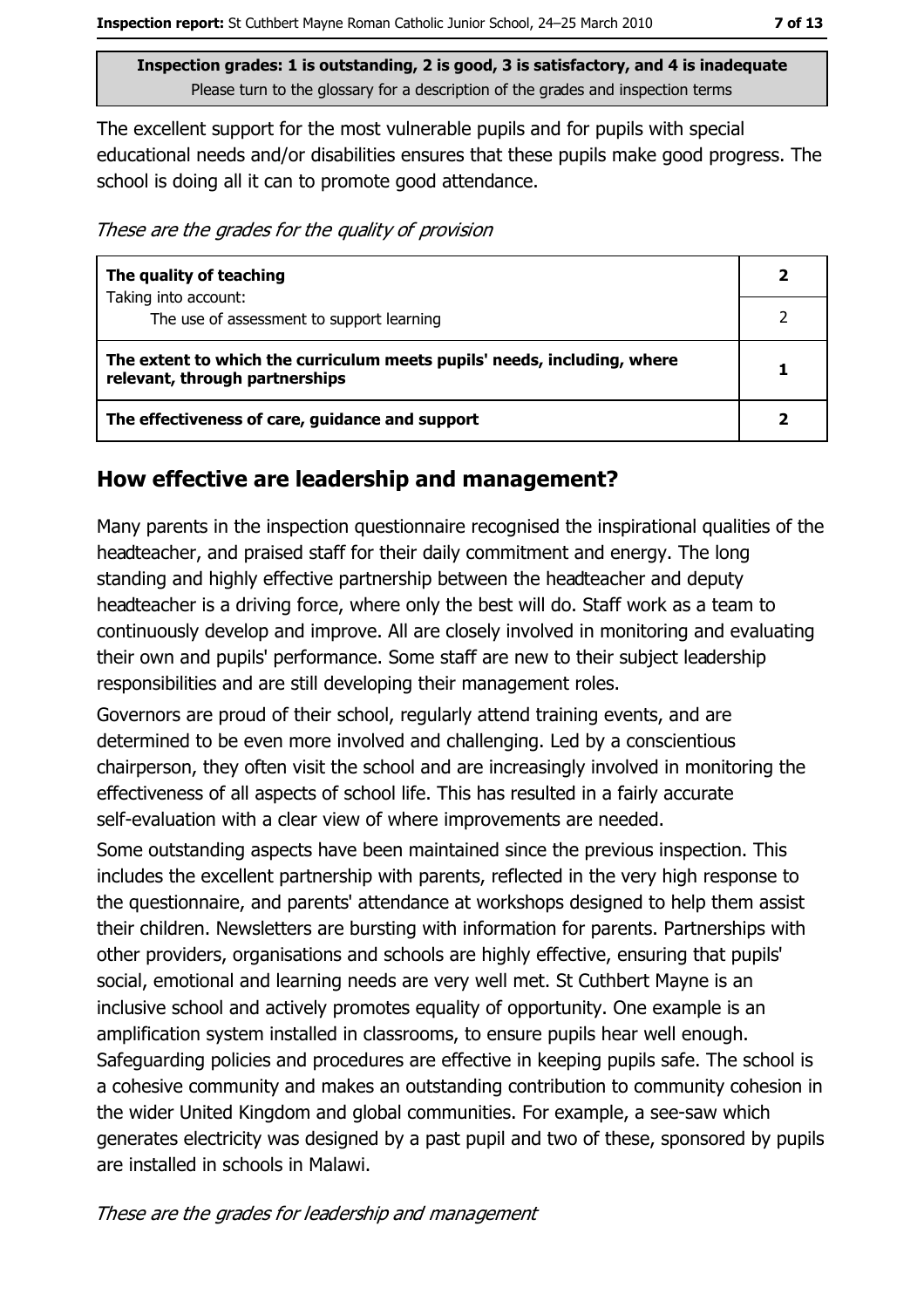The excellent support for the most vulnerable pupils and for pupils with special educational needs and/or disabilities ensures that these pupils make good progress. The school is doing all it can to promote good attendance.

These are the grades for the quality of provision

| The quality of teaching                                                                                    |  |
|------------------------------------------------------------------------------------------------------------|--|
| Taking into account:<br>The use of assessment to support learning                                          |  |
| The extent to which the curriculum meets pupils' needs, including, where<br>relevant, through partnerships |  |
| The effectiveness of care, guidance and support                                                            |  |

#### How effective are leadership and management?

Many parents in the inspection questionnaire recognised the inspirational qualities of the headteacher, and praised staff for their daily commitment and energy. The long standing and highly effective partnership between the headteacher and deputy headteacher is a driving force, where only the best will do. Staff work as a team to continuously develop and improve. All are closely involved in monitoring and evaluating their own and pupils' performance. Some staff are new to their subject leadership responsibilities and are still developing their management roles.

Governors are proud of their school, regularly attend training events, and are determined to be even more involved and challenging. Led by a conscientious chairperson, they often visit the school and are increasingly involved in monitoring the effectiveness of all aspects of school life. This has resulted in a fairly accurate self-evaluation with a clear view of where improvements are needed.

Some outstanding aspects have been maintained since the previous inspection. This includes the excellent partnership with parents, reflected in the very high response to the questionnaire, and parents' attendance at workshops designed to help them assist their children. Newsletters are bursting with information for parents. Partnerships with other providers, organisations and schools are highly effective, ensuring that pupils' social, emotional and learning needs are very well met. St Cuthbert Mayne is an inclusive school and actively promotes equality of opportunity. One example is an amplification system installed in classrooms, to ensure pupils hear well enough. Safeguarding policies and procedures are effective in keeping pupils safe. The school is a cohesive community and makes an outstanding contribution to community cohesion in the wider United Kingdom and global communities. For example, a see-saw which generates electricity was designed by a past pupil and two of these, sponsored by pupils are installed in schools in Malawi.

These are the grades for leadership and management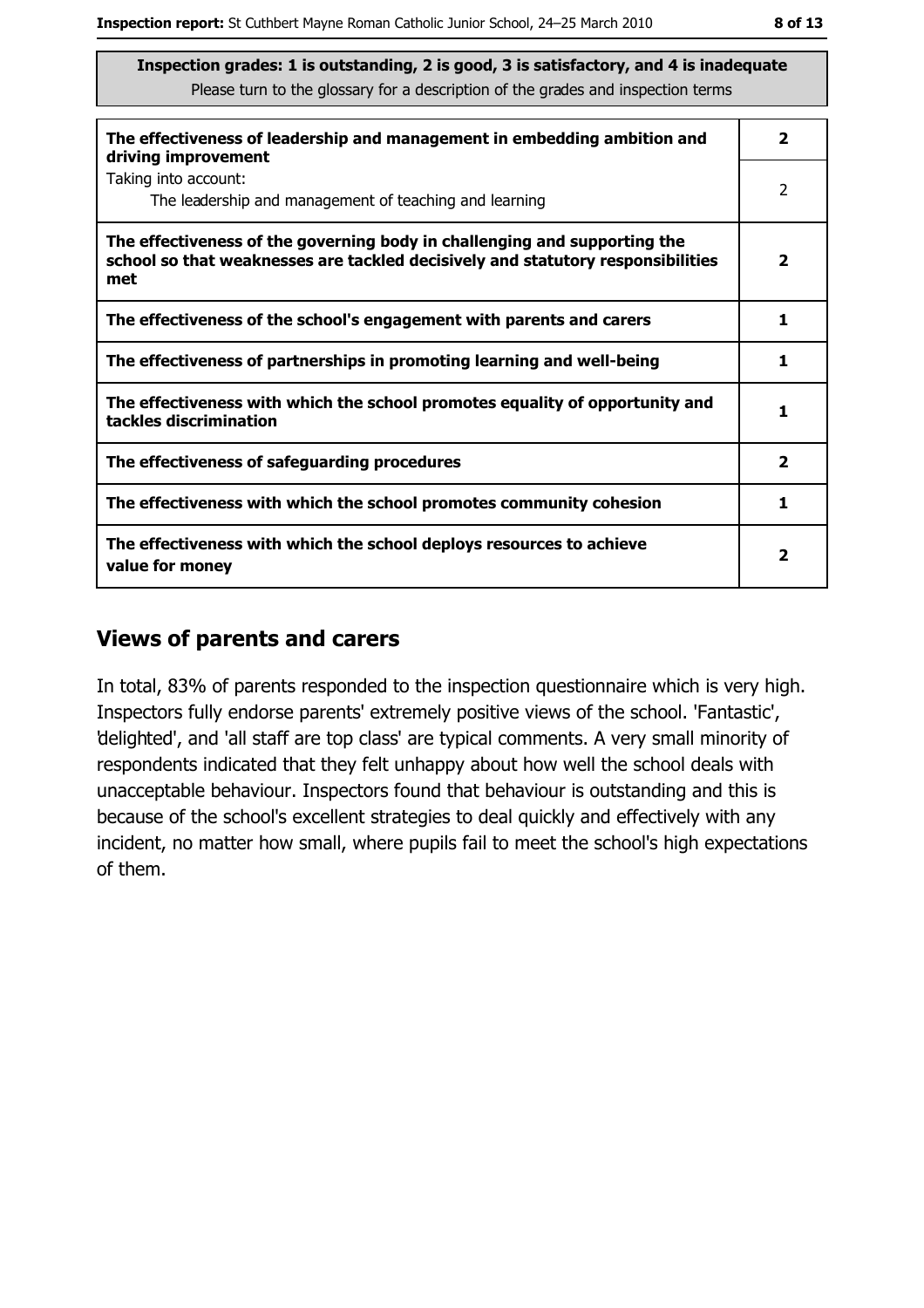| The effectiveness of leadership and management in embedding ambition and<br>driving improvement                                                                     | $\overline{\mathbf{2}}$ |
|---------------------------------------------------------------------------------------------------------------------------------------------------------------------|-------------------------|
| Taking into account:<br>The leadership and management of teaching and learning                                                                                      | 2                       |
| The effectiveness of the governing body in challenging and supporting the<br>school so that weaknesses are tackled decisively and statutory responsibilities<br>met | $\overline{\mathbf{2}}$ |
| The effectiveness of the school's engagement with parents and carers                                                                                                | 1.                      |
| The effectiveness of partnerships in promoting learning and well-being                                                                                              | 1                       |
| The effectiveness with which the school promotes equality of opportunity and<br>tackles discrimination                                                              | 1                       |
| The effectiveness of safeguarding procedures                                                                                                                        | $\mathbf{2}$            |
| The effectiveness with which the school promotes community cohesion                                                                                                 | 1                       |
| The effectiveness with which the school deploys resources to achieve<br>value for money                                                                             | $\mathbf{2}$            |

#### **Views of parents and carers**

In total, 83% of parents responded to the inspection questionnaire which is very high. Inspectors fully endorse parents' extremely positive views of the school. 'Fantastic', delighted', and 'all staff are top class' are typical comments. A very small minority of respondents indicated that they felt unhappy about how well the school deals with unacceptable behaviour. Inspectors found that behaviour is outstanding and this is because of the school's excellent strategies to deal quickly and effectively with any incident, no matter how small, where pupils fail to meet the school's high expectations of them.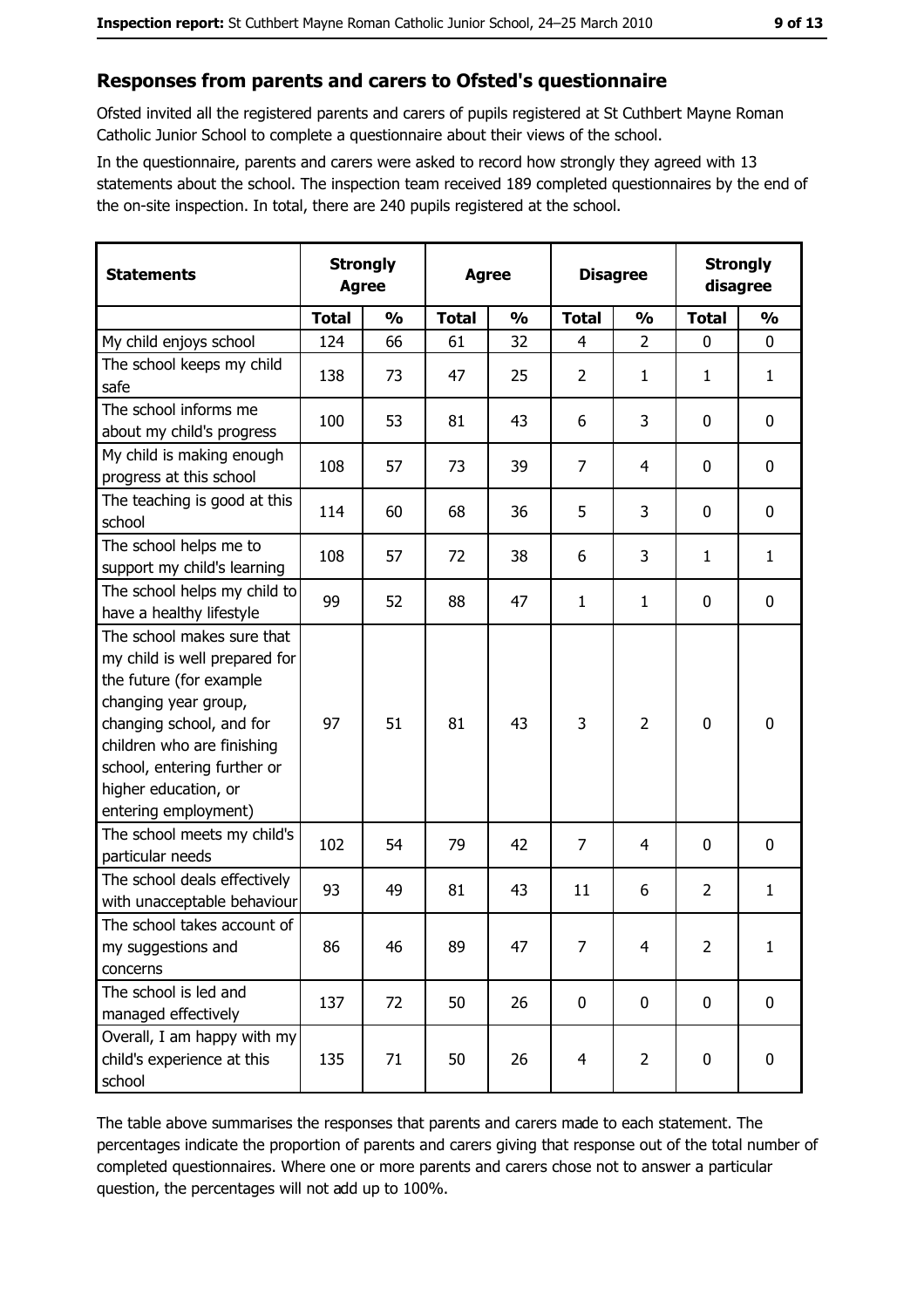#### Responses from parents and carers to Ofsted's questionnaire

Ofsted invited all the registered parents and carers of pupils registered at St Cuthbert Mayne Roman Catholic Junior School to complete a questionnaire about their views of the school.

In the questionnaire, parents and carers were asked to record how strongly they agreed with 13 statements about the school. The inspection team received 189 completed questionnaires by the end of the on-site inspection. In total, there are 240 pupils registered at the school.

| <b>Statements</b>                                                                                                                                                                                                                                       | <b>Strongly</b><br><b>Agree</b> |               | <b>Agree</b> |               | <b>Disagree</b> |                | <b>Strongly</b><br>disagree |               |
|---------------------------------------------------------------------------------------------------------------------------------------------------------------------------------------------------------------------------------------------------------|---------------------------------|---------------|--------------|---------------|-----------------|----------------|-----------------------------|---------------|
|                                                                                                                                                                                                                                                         | <b>Total</b>                    | $\frac{0}{0}$ | <b>Total</b> | $\frac{0}{0}$ | <b>Total</b>    | $\frac{0}{0}$  | <b>Total</b>                | $\frac{0}{0}$ |
| My child enjoys school                                                                                                                                                                                                                                  | 124                             | 66            | 61           | 32            | $\overline{4}$  | $\overline{2}$ | $\mathbf 0$                 | $\mathbf 0$   |
| The school keeps my child<br>safe                                                                                                                                                                                                                       | 138                             | 73            | 47           | 25            | $\overline{2}$  | 1              | 1                           | $\mathbf{1}$  |
| The school informs me<br>about my child's progress                                                                                                                                                                                                      | 100                             | 53            | 81           | 43            | 6               | 3              | 0                           | 0             |
| My child is making enough<br>progress at this school                                                                                                                                                                                                    | 108                             | 57            | 73           | 39            | $\overline{7}$  | 4              | 0                           | 0             |
| The teaching is good at this<br>school                                                                                                                                                                                                                  | 114                             | 60            | 68           | 36            | 5               | 3              | 0                           | $\mathbf 0$   |
| The school helps me to<br>support my child's learning                                                                                                                                                                                                   | 108                             | 57            | 72           | 38            | 6               | 3              | 1                           | $\mathbf{1}$  |
| The school helps my child to<br>have a healthy lifestyle                                                                                                                                                                                                | 99                              | 52            | 88           | 47            | $\mathbf{1}$    | 1              | 0                           | 0             |
| The school makes sure that<br>my child is well prepared for<br>the future (for example<br>changing year group,<br>changing school, and for<br>children who are finishing<br>school, entering further or<br>higher education, or<br>entering employment) | 97                              | 51            | 81           | 43            | 3               | 2              | 0                           | $\mathbf 0$   |
| The school meets my child's<br>particular needs                                                                                                                                                                                                         | 102                             | 54            | 79           | 42            | $\overline{7}$  | 4              | 0                           | 0             |
| The school deals effectively<br>with unacceptable behaviour                                                                                                                                                                                             | 93                              | 49            | 81           | 43            | 11              | 6              | $\overline{2}$              | $\mathbf{1}$  |
| The school takes account of<br>my suggestions and<br>concerns                                                                                                                                                                                           | 86                              | 46            | 89           | 47            | 7               | 4              | $\overline{2}$              | $\mathbf{1}$  |
| The school is led and<br>managed effectively                                                                                                                                                                                                            | 137                             | 72            | 50           | 26            | $\mathbf 0$     | $\pmb{0}$      | $\mathbf 0$                 | $\mathbf 0$   |
| Overall, I am happy with my<br>child's experience at this<br>school                                                                                                                                                                                     | 135                             | 71            | 50           | 26            | 4               | $\overline{2}$ | $\bf{0}$                    | $\pmb{0}$     |

The table above summarises the responses that parents and carers made to each statement. The percentages indicate the proportion of parents and carers giving that response out of the total number of completed questionnaires. Where one or more parents and carers chose not to answer a particular question, the percentages will not add up to 100%.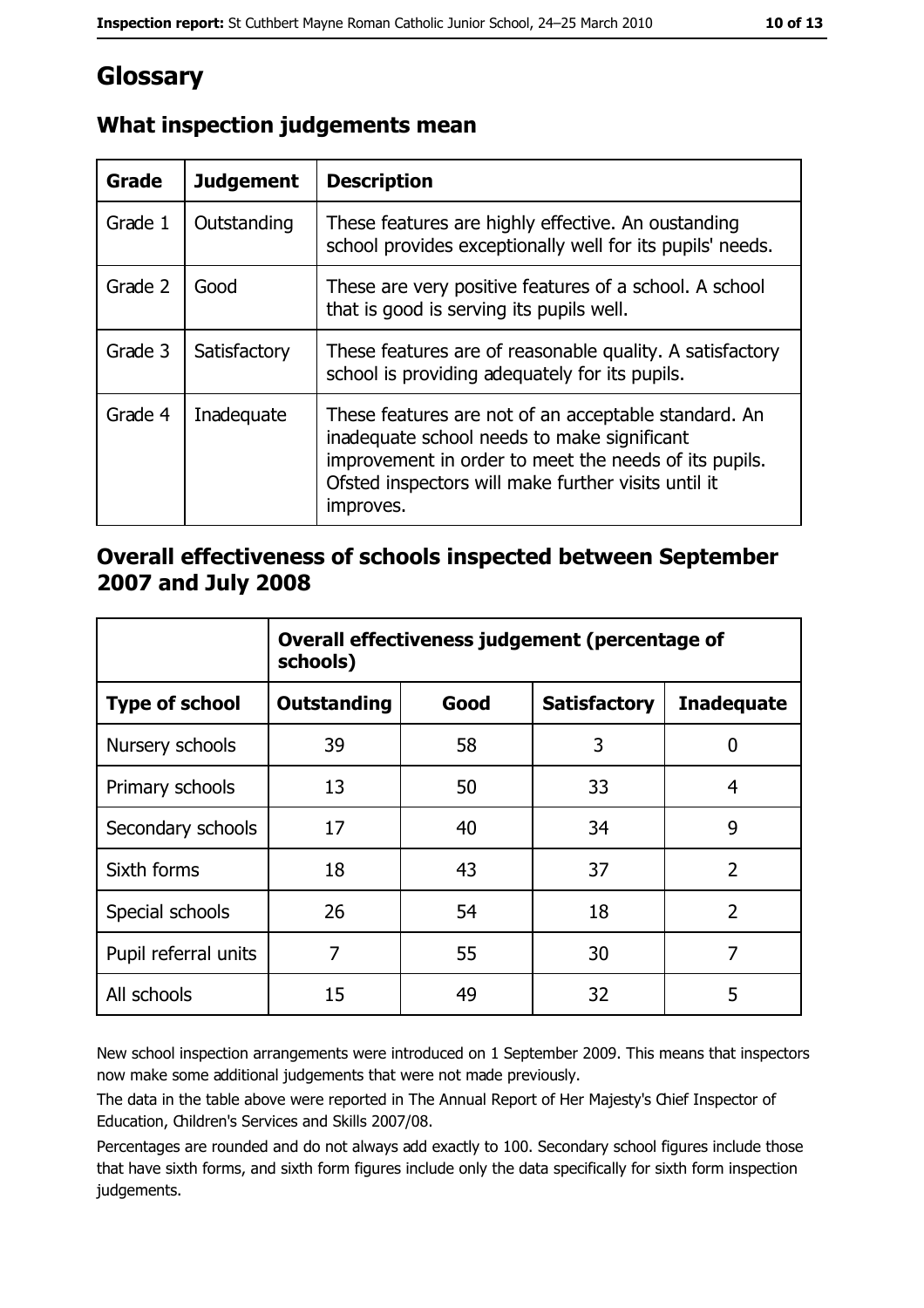# Glossary

| <b>Grade</b> | <b>Judgement</b> | <b>Description</b>                                                                                                                                                                                                               |
|--------------|------------------|----------------------------------------------------------------------------------------------------------------------------------------------------------------------------------------------------------------------------------|
| Grade 1      | Outstanding      | These features are highly effective. An oustanding<br>school provides exceptionally well for its pupils' needs.                                                                                                                  |
| Grade 2      | Good             | These are very positive features of a school. A school<br>that is good is serving its pupils well.                                                                                                                               |
| Grade 3      | Satisfactory     | These features are of reasonable quality. A satisfactory<br>school is providing adequately for its pupils.                                                                                                                       |
| Grade 4      | Inadequate       | These features are not of an acceptable standard. An<br>inadequate school needs to make significant<br>improvement in order to meet the needs of its pupils.<br>Ofsted inspectors will make further visits until it<br>improves. |

## What inspection judgements mean

### Overall effectiveness of schools inspected between September 2007 and July 2008

|                       | Overall effectiveness judgement (percentage of<br>schools) |      |                     |                   |
|-----------------------|------------------------------------------------------------|------|---------------------|-------------------|
| <b>Type of school</b> | Outstanding                                                | Good | <b>Satisfactory</b> | <b>Inadequate</b> |
| Nursery schools       | 39                                                         | 58   | 3                   | 0                 |
| Primary schools       | 13                                                         | 50   | 33                  | 4                 |
| Secondary schools     | 17                                                         | 40   | 34                  | 9                 |
| Sixth forms           | 18                                                         | 43   | 37                  | $\overline{2}$    |
| Special schools       | 26                                                         | 54   | 18                  | $\overline{2}$    |
| Pupil referral units  | 7                                                          | 55   | 30                  | 7                 |
| All schools           | 15                                                         | 49   | 32                  | 5                 |

New school inspection arrangements were introduced on 1 September 2009. This means that inspectors now make some additional judgements that were not made previously.

The data in the table above were reported in The Annual Report of Her Majesty's Chief Inspector of Education, Children's Services and Skills 2007/08.

Percentages are rounded and do not always add exactly to 100. Secondary school figures include those that have sixth forms, and sixth form figures include only the data specifically for sixth form inspection judgements.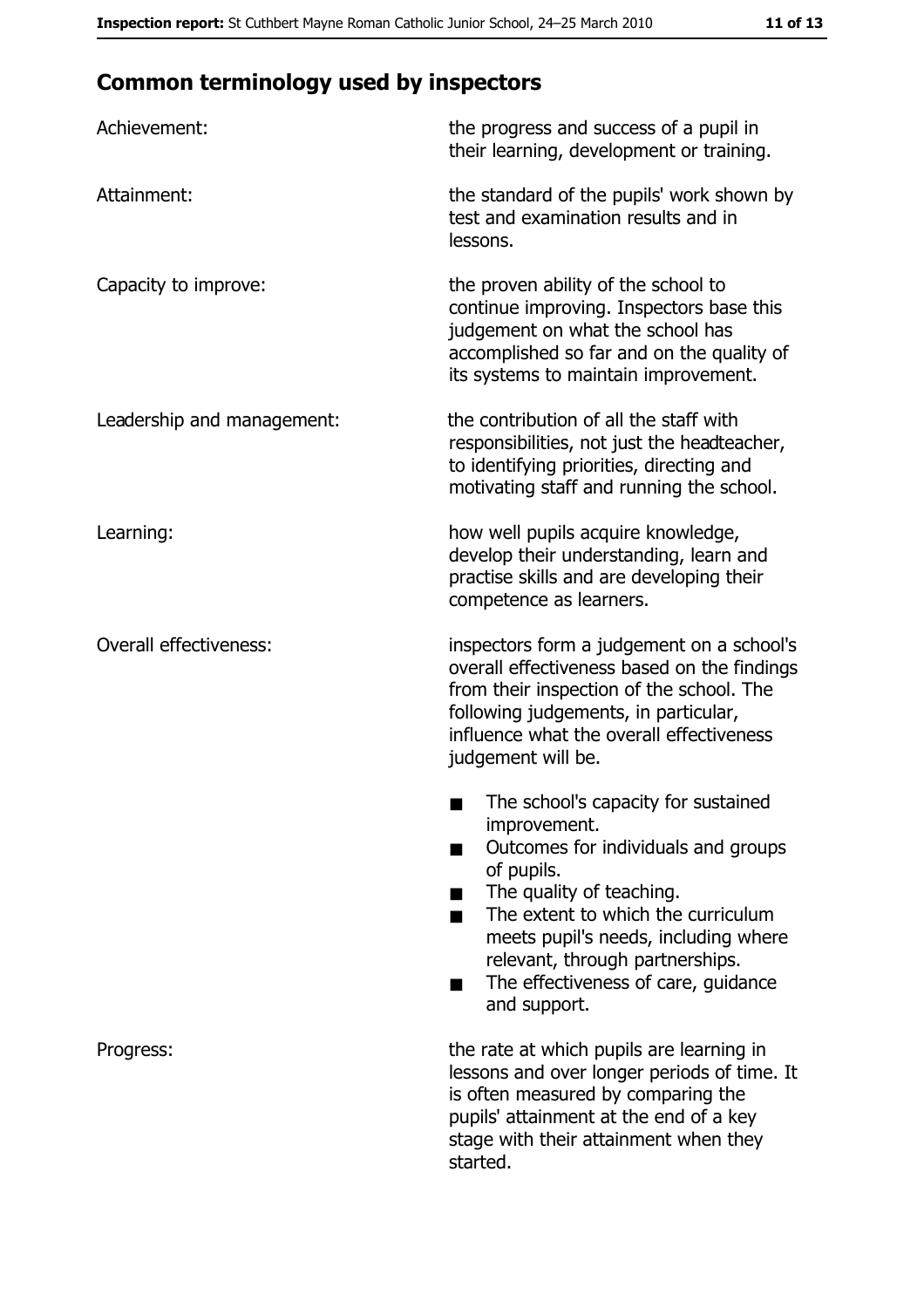# **Common terminology used by inspectors**

| Achievement:                  | the progress and success of a pupil in<br>their learning, development or training.                                                                                                                                                                                                                           |
|-------------------------------|--------------------------------------------------------------------------------------------------------------------------------------------------------------------------------------------------------------------------------------------------------------------------------------------------------------|
| Attainment:                   | the standard of the pupils' work shown by<br>test and examination results and in<br>lessons.                                                                                                                                                                                                                 |
| Capacity to improve:          | the proven ability of the school to<br>continue improving. Inspectors base this<br>judgement on what the school has<br>accomplished so far and on the quality of<br>its systems to maintain improvement.                                                                                                     |
| Leadership and management:    | the contribution of all the staff with<br>responsibilities, not just the headteacher,<br>to identifying priorities, directing and<br>motivating staff and running the school.                                                                                                                                |
| Learning:                     | how well pupils acquire knowledge,<br>develop their understanding, learn and<br>practise skills and are developing their<br>competence as learners.                                                                                                                                                          |
| <b>Overall effectiveness:</b> | inspectors form a judgement on a school's<br>overall effectiveness based on the findings<br>from their inspection of the school. The<br>following judgements, in particular,<br>influence what the overall effectiveness<br>judgement will be.                                                               |
|                               | The school's capacity for sustained<br>improvement.<br>Outcomes for individuals and groups<br>of pupils.<br>The quality of teaching.<br>The extent to which the curriculum<br>meets pupil's needs, including where<br>relevant, through partnerships.<br>The effectiveness of care, guidance<br>and support. |
| Progress:                     | the rate at which pupils are learning in<br>lessons and over longer periods of time. It<br>is often measured by comparing the<br>pupils' attainment at the end of a key<br>stage with their attainment when they<br>started.                                                                                 |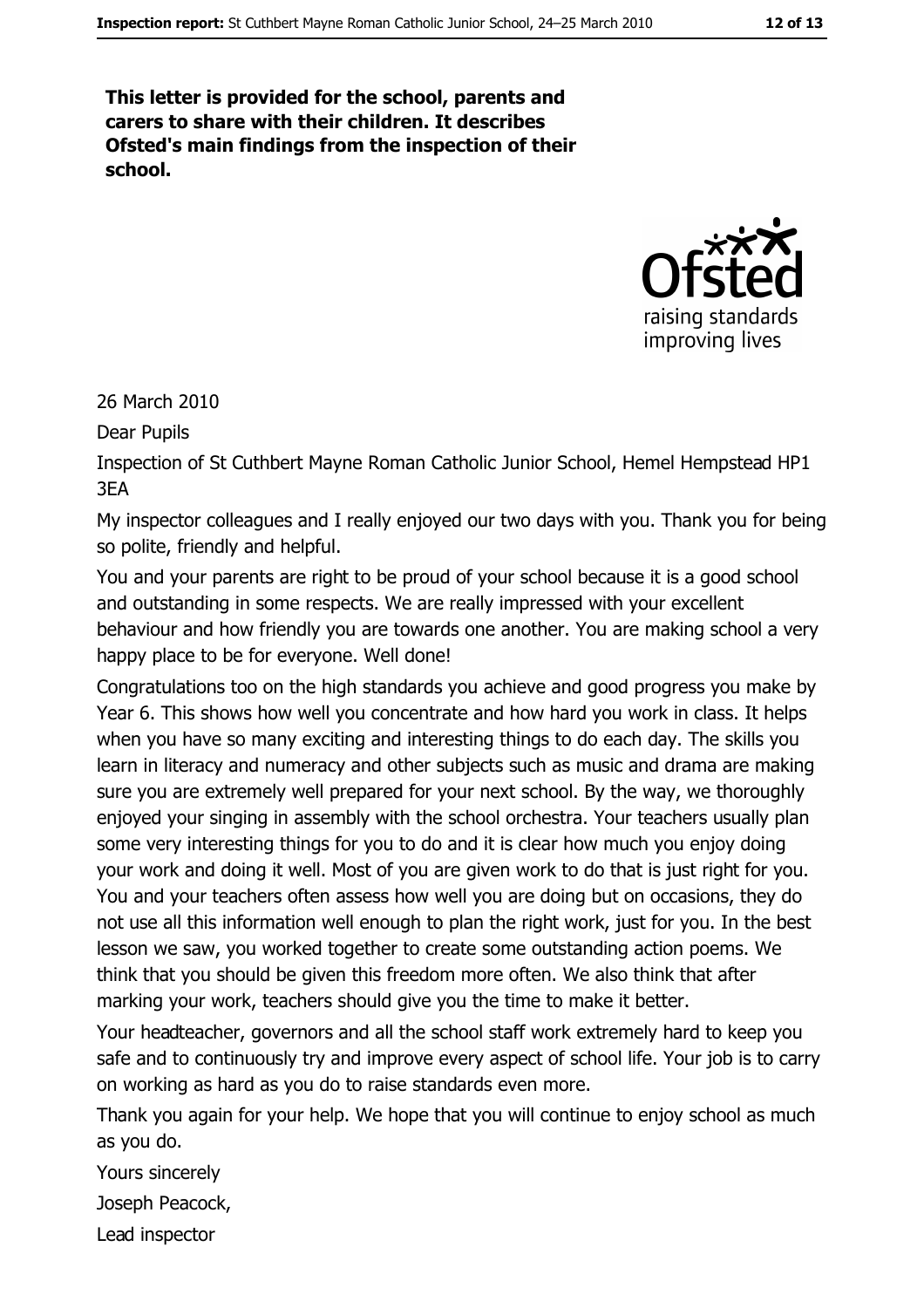This letter is provided for the school, parents and carers to share with their children. It describes Ofsted's main findings from the inspection of their school.



26 March 2010

Dear Pupils

Inspection of St Cuthbert Mayne Roman Catholic Junior School, Hemel Hempstead HP1 3FA

My inspector colleagues and I really enjoyed our two days with you. Thank you for being so polite, friendly and helpful.

You and your parents are right to be proud of your school because it is a good school and outstanding in some respects. We are really impressed with your excellent behaviour and how friendly you are towards one another. You are making school a very happy place to be for everyone. Well done!

Congratulations too on the high standards you achieve and good progress you make by Year 6. This shows how well you concentrate and how hard you work in class. It helps when you have so many exciting and interesting things to do each day. The skills you learn in literacy and numeracy and other subjects such as music and drama are making sure you are extremely well prepared for your next school. By the way, we thoroughly enjoyed your singing in assembly with the school orchestra. Your teachers usually plan some very interesting things for you to do and it is clear how much you enjoy doing your work and doing it well. Most of you are given work to do that is just right for you. You and your teachers often assess how well you are doing but on occasions, they do not use all this information well enough to plan the right work, just for you. In the best lesson we saw, you worked together to create some outstanding action poems. We think that you should be given this freedom more often. We also think that after marking your work, teachers should give you the time to make it better.

Your headteacher, governors and all the school staff work extremely hard to keep you safe and to continuously try and improve every aspect of school life. Your job is to carry on working as hard as you do to raise standards even more.

Thank you again for your help. We hope that you will continue to enjoy school as much as you do.

Yours sincerely

Joseph Peacock,

Lead inspector